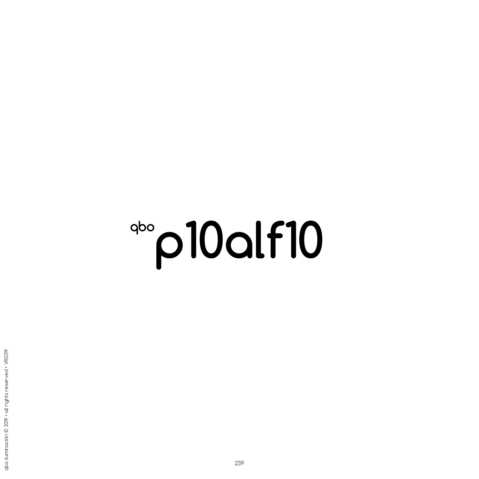## **p10alf10**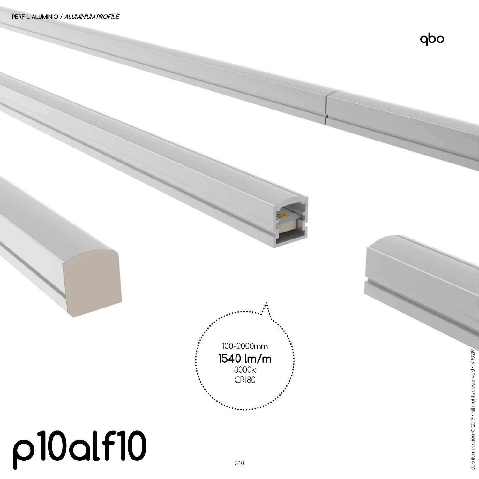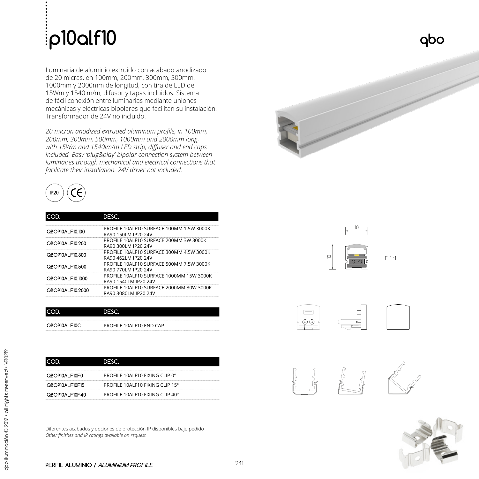## **p10alf10**

Luminaria de aluminio extruido con acabado anodizado de 20 micras, en 100mm, 200mm, 300mm, 500mm, 1000mm y 2000mm de longitud, con tira de LED de 15Wm y 1540lm/m, difusor y tapas incluidos. Sistema de fácil conexión entre luminarias mediante uniones mecánicas y eléctricas bipolares que facilitan su instalación. Transformador de 24V no incluido.

*20 micron anodized extruded aluminum profile, in 100mm, 200mm, 300mm, 500mm, 1000mm and 2000mm long, with 15Wm and 1540lm/m LED strip, diffuser and end caps included. Easy 'plug&play' bipolar connection system between luminaires through mechanical and electrical connections that facilitate their installation. 24V driver not included.*



| חכ                      | DESC.                                    |
|-------------------------|------------------------------------------|
|                         | PROFILE 10ALF10 SURFACE 100MM 1,5W 3000K |
| <b>OBOP10AL F10.100</b> | RA90 150LM IP20 24V                      |
| <b>OBOPI0AL F10.200</b> | PROFILE 10ALF10 SURFACE 200MM 3W 3000K   |
|                         | RA90 300LM IP20 24V                      |
| <b>OBOP10AL F10.300</b> | PROFILE 10ALF10 SURFACE 300MM 4.5W 3000K |
|                         | RA90 462LM IP20 24V                      |
| OBOP10AL F10.500        | PROFILE 10ALF10 SURFACE 500MM 7.5W 3000K |
|                         | RA90 770LM IP20 24V                      |
| OBOPI0AL F10.1000       | PROFILE 10ALF10 SURFACE 1000MM 15W 3000K |
|                         | RA90 1540LM IP20 24V                     |
| QBOP10ALF10.2000        | PROFILE 10ALF10 SURFACE 2000MM 30W 3000K |
|                         | RA90 3080LM IP20 24V                     |

|              | DESC                    |
|--------------|-------------------------|
| QBOP10ALF10C | PROFILE 10ALF10 END CAP |
|              |                         |

|                 | ספרו                            |
|-----------------|---------------------------------|
|                 |                                 |
| OBOPI0AL FI0FO  | PROFILE 10ALF10 FIXING CLIP 0°  |
| QBOP10ALF10F15  | PROFILE 10ALF10 FIXING CLIP 15° |
| OBOPI0AL FI0F40 | PROFILE 10ALF10 FIXING CLIP 40° |

Diferentes acabados y opciones de protección IP disponibles bajo pedido *Other finishes and IP ratings available on request*





E 1:1





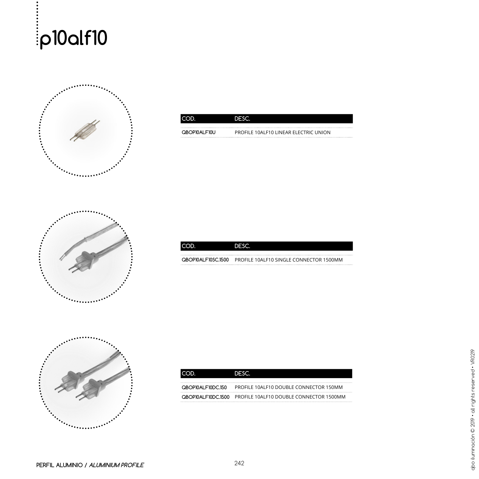



| OROPIOAL FIOLL | PROFILE 10ALF10 LINEAR ELECTRIC UNION |
|----------------|---------------------------------------|



| OBOPI0AL FIOSC I500 | PROFILE 10ALF10 SINGLE CONNECTOR 1500MM |
|---------------------|-----------------------------------------|



|                     | DESC                                    |
|---------------------|-----------------------------------------|
| OBOPI0AL FIODC150   | PROFILE 10ALF10 DOUBLE CONNECTOR 150MM  |
| OBOPI0AL FIODC I500 | PROFILE 10ALF10 DOUBLE CONNECTOR 1500MM |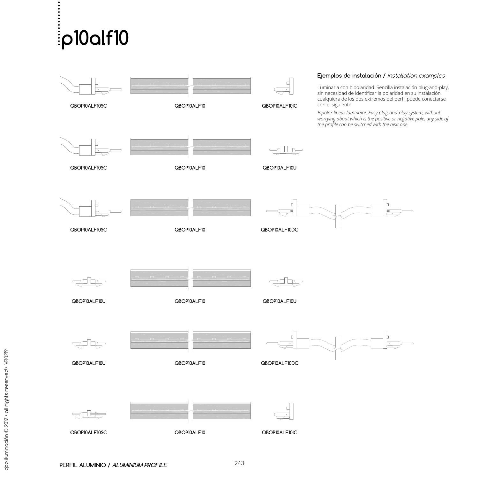## **p10alf10**